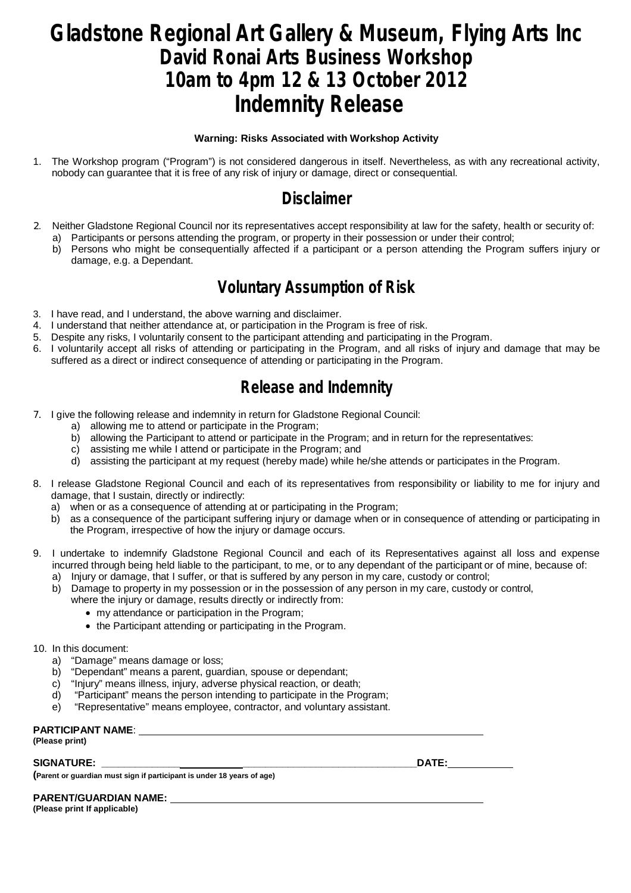# **Gladstone Regional Art Gallery & Museum, Flying Arts Inc David Ronai Arts Business Workshop 10am to 4pm 12 & 13 October 2012 Indemnity Release**

#### **Warning: Risks Associated with Workshop Activity**

1. The Workshop program ("Program") is not considered dangerous in itself. Nevertheless, as with any recreational activity, nobody can guarantee that it is free of any risk of injury or damage, direct or consequential.

#### **Disclaimer**

- 2. Neither Gladstone Regional Council nor its representatives accept responsibility at law for the safety, health or security of: a) Participants or persons attending the program, or property in their possession or under their control;
	- b) Persons who might be consequentially affected if a participant or a person attending the Program suffers injury or damage, e.g. a Dependant.

## **Voluntary Assumption of Risk**

- 3. I have read, and I understand, the above warning and disclaimer.
- 4. I understand that neither attendance at, or participation in the Program is free of risk.
- 5. Despite any risks, I voluntarily consent to the participant attending and participating in the Program.
- 6. I voluntarily accept all risks of attending or participating in the Program, and all risks of injury and damage that may be suffered as a direct or indirect consequence of attending or participating in the Program.

# **Release and Indemnity**

- 7. I give the following release and indemnity in return for Gladstone Regional Council:
	- a) allowing me to attend or participate in the Program;
	- b) allowing the Participant to attend or participate in the Program; and in return for the representatives:
	- c) assisting me while I attend or participate in the Program; and
	- d) assisting the participant at my request (hereby made) while he/she attends or participates in the Program.
- 8. I release Gladstone Regional Council and each of its representatives from responsibility or liability to me for injury and damage, that I sustain, directly or indirectly:
	- a) when or as a consequence of attending at or participating in the Program;
	- b) as a consequence of the participant suffering injury or damage when or in consequence of attending or participating in the Program, irrespective of how the injury or damage occurs.
- 9. I undertake to indemnify Gladstone Regional Council and each of its Representatives against all loss and expense incurred through being held liable to the participant, to me, or to any dependant of the participant or of mine, because of:
	- a) Injury or damage, that I suffer, or that is suffered by any person in my care, custody or control;
	- b) Damage to property in my possession or in the possession of any person in my care, custody or control,
		- where the injury or damage, results directly or indirectly from:
			- my attendance or participation in the Program;
			- the Participant attending or participating in the Program.
- 10. In this document:
	- a) "Damage" means damage or loss;
	- b) "Dependant" means a parent, guardian, spouse or dependant;
	- c) "Injury" means illness, injury, adverse physical reaction, or death;
	- d) "Participant" means the person intending to participate in the Program;
	- e) "Representative" means employee, contractor, and voluntary assistant.

#### **PARTICIPANT NAME**:

**(Please print)**

**SIGNATURE: \_\_\_\_\_\_\_\_\_\_\_\_\_\_ \_\_\_\_\_\_\_\_\_\_\_\_\_\_\_\_\_\_\_\_\_\_\_\_\_\_\_\_\_\_\_DATE:**

**(Parent or guardian must sign if participant is under 18 years of age)**

**PARENT/GUARDIAN NAME:** 

**(Please print If applicable)**